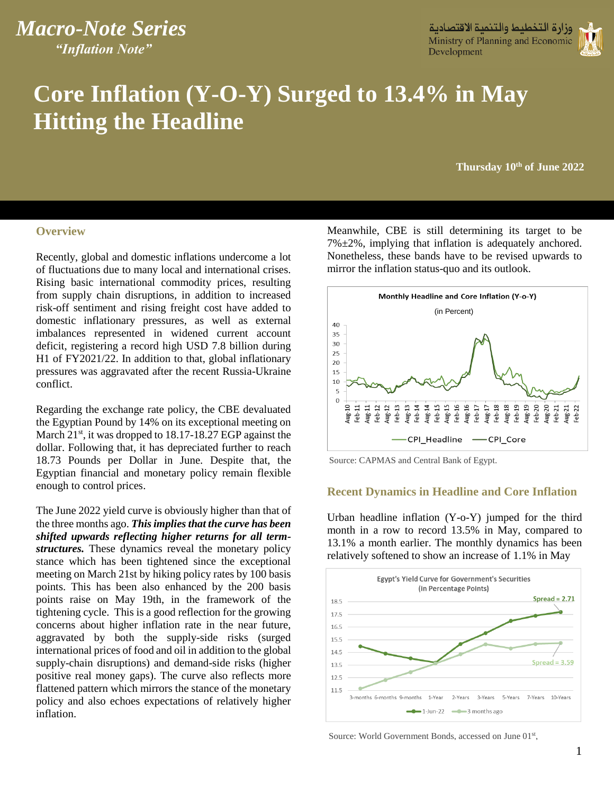# *Macro-Note Series "Inflation Note" Macro-Note Series*

وزارة التخطيط والتنمية الاقتط Ministry of Planning and Economic Development



# **Core Inflation (Y-O-Y) Surged to 13.4% in May Coupled Witting the Headline**

۱

**Monday 10th of May 2022 Thursday 10th of June 2022**

### **Overview**

Recently, global and domestic inflations undercome a lot of fluctuations due to many local and international crises. Rising basic international commodity prices, resulting from supply chain disruptions, in addition to increased risk-off sentiment and rising freight cost have added to domestic inflationary pressures, as well as external imbalances represented in widened current account deficit, registering a record high USD 7.8 billion during H1 of FY2021/22. In addition to that, global inflationary pressures was aggravated after the recent Russia-Ukraine conflict.

Regarding the exchange rate policy, the CBE devaluated the Egyptian Pound by 14% on its exceptional meeting on March 21<sup>st</sup>, it was dropped to 18.17-18.27 EGP against the dollar. Following that, it has depreciated further to reach 18.73 Pounds per Dollar in June. Despite that, the Egyptian financial and monetary policy remain flexible enough to control prices.

The June 2022 yield curve is obviously higher than that of the three months ago. *This implies that the curve has been shifted upwards reflecting higher returns for all termstructures.* These dynamics reveal the monetary policy stance which has been tightened since the exceptional meeting on March 21st by hiking policy rates by 100 basis points. This has been also enhanced by the 200 basis points raise on May 19th, in the framework of the tightening cycle. This is a good reflection for the growing concerns about higher inflation rate in the near future, aggravated by both the supply-side risks (surged international prices of food and oil in addition to the global supply-chain disruptions) and demand-side risks (higher positive real money gaps). The curve also reflects more flattened pattern which mirrors the stance of the monetary policy and also echoes expectations of relatively higher inflation.

Meanwhile, CBE is still determining its target to be  $7\% \pm 2\%$ , implying that inflation is adequately anchored. Nonetheless, these bands have to be revised upwards to mirror the inflation status-quo and its outlook.



Source: CAPMAS and Central Bank of Egypt.

### **Recent Dynamics in Headline and Core Inflation**

Urban headline inflation (Y-o-Y) jumped for the third month in a row to record 13.5% in May, compared to 13.1% a month earlier. The monthly dynamics has been relatively softened to show an increase of 1.1% in May



Source: World Government Bonds, accessed on June 01st,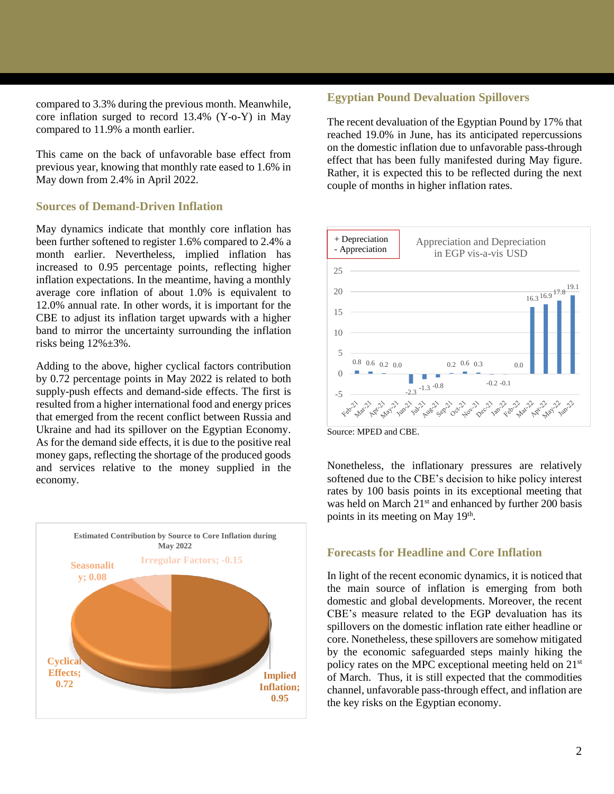compared to 3.3% during the previous month. Meanwhile, core inflation surged to record 13.4% (Y-o-Y) in May compared to 11.9% a month earlier.

This came on the back of unfavorable base effect from previous year, knowing that monthly rate eased to 1.6% in May down from 2.4% in April 2022.

## **Sources of Demand-Driven Inflation**

May dynamics indicate that monthly core inflation has been further softened to register 1.6% compared to 2.4% a month earlier. Nevertheless, implied inflation has increased to 0.95 percentage points, reflecting higher inflation expectations. In the meantime, having a monthly average core inflation of about 1.0% is equivalent to 12.0% annual rate. In other words, it is important for the CBE to adjust its inflation target upwards with a higher band to mirror the uncertainty surrounding the inflation risks being 12%±3%.

Adding to the above, higher cyclical factors contribution by 0.72 percentage points in May 2022 is related to both supply-push effects and demand-side effects. The first is resulted from a higher international food and energy prices that emerged from the recent conflict between Russia and Ukraine and had its spillover on the Egyptian Economy. As for the demand side effects, it is due to the positive real money gaps, reflecting the shortage of the produced goods and services relative to the money supplied in the economy.



## **Egyptian Pound Devaluation Spillovers**

The recent devaluation of the Egyptian Pound by 17% that reached 19.0% in June, has its anticipated repercussions on the domestic inflation due to unfavorable pass-through effect that has been fully manifested during May figure. Rather, it is expected this to be reflected during the next couple of months in higher inflation rates.



Source: MPED and CBE.

Nonetheless, the inflationary pressures are relatively softened due to the CBE's decision to hike policy interest rates by 100 basis points in its exceptional meeting that was held on March 21<sup>st</sup> and enhanced by further 200 basis points in its meeting on May 19<sup>th</sup>.

### **Forecasts for Headline and Core Inflation**

In light of the recent economic dynamics, it is noticed that the main source of inflation is emerging from both domestic and global developments. Moreover, the recent CBE's measure related to the EGP devaluation has its spillovers on the domestic inflation rate either headline or core. Nonetheless, these spillovers are somehow mitigated by the economic safeguarded steps mainly hiking the policy rates on the MPC exceptional meeting held on  $21<sup>st</sup>$ of March. Thus, it is still expected that the commodities channel, unfavorable pass-through effect, and inflation are the key risks on the Egyptian economy.